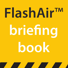# **FlashAir**™ **briefing book**

<u> The Community of the Community of the Community of the Community of the Community of the Community of the Community of the Community of the Community of the Community of the Community of the Community of the Community of</u>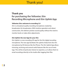# Thank you!

## **Thank you for purchasing the Yellowtec iXm Recording Microphone and iXm Uplink App**

### **Yellowtec iXm: welcome to recording 2.0**

iXm is a broadcast quality recording microphone created by broadcasters for broadcasters. With intuitive operation and robust construction, iXm delivers pristine sound quality without the need to monitor levels or make other adjustments.

### **iXm Uplink: the new App for your iXm**

iXm Uplink is a new recording iOS app for the iXm digital recording microphone. The new app facilitates the uplink of data from the iXm microphone by IOS devices like the iPhone. The iXm Uplink App allows trimming, archiving and several useful features like the use of meta tags. This will be of particular interest to reporters, as it allows them to email recordings directly to the studio after tagging their files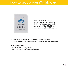# How to set up your Wifi SD Card



### **Recommended Wifi Card:**

We recommend to use a Toshiba FlashAir™ W-02 Class10 SD Card. Available in 8, 16 and 32 GB, we recommend to use the 8 GB version.

### **1. Download Toshiba FlashAir**™ **Configuration Software:**

http://www.toshiba.co.jp/p-media/english/download/wl/software.htm

### **2. Setup the Card:**

- Insert card into SD card reader
- Start the FlashAir configuration Software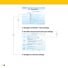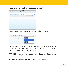### **6. Set WLAN Start Mode "Automatic Start Mode"**

| <b>FlashAirTool</b>    |                                         |   |
|------------------------|-----------------------------------------|---|
| <b>CON</b><br>←        | <b>WLAN-Startmodus</b>                  |   |
| FlashAir Einstellungen | <b>Automatischer Startmodus</b>         | ٠ |
|                        | Auto Start Timeout Einstellung 5 Minute | ٠ |
|                        | (rūckgāngig)<br>anwenden                |   |
|                        |                                         |   |
|                        |                                         |   |
|                        |                                         |   |
|                        |                                         |   |
|                        |                                         |   |
|                        |                                         |   |

In this mode FlashAir™ is activated automatically, if inserted.



The timer indicates the timespan after that the card will be deactivated if your device does not access it. To restart WLAN function simply restart your device with FlashAir™ card inserted.

### **WARNING: Do not remove the card during the restart! Doing so may cause the loss of data!**

**PLEASE NOTE: "Manual Start Mode" is not supported!**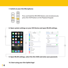**7. Switch on your iXm Microphone:**



Press and hold the RECORD Button and simultaneously press the STOP Button on the Playback Keypad.

**8. Open system settings on your iOS Device and open WLAN settings.** 



**9. Open WLAN settings, select the iXm SSID and enter your password.**

### **10. Start using your iXm Uplink App!**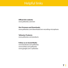# Helpful links

### **Official iXm website:**

www.yellowtec.com/ixm

### **iXm Firmware and Downloads:**

www.yellowtec.com/downloads/ixm-recording-microphone

### **Yellowtec Products:** www.yellowtec.com/products

### **Follow us on Social Media:**

www.facebook.com/yellowtec www.twitter.com/yellowtec www.google.com/+yellowtec